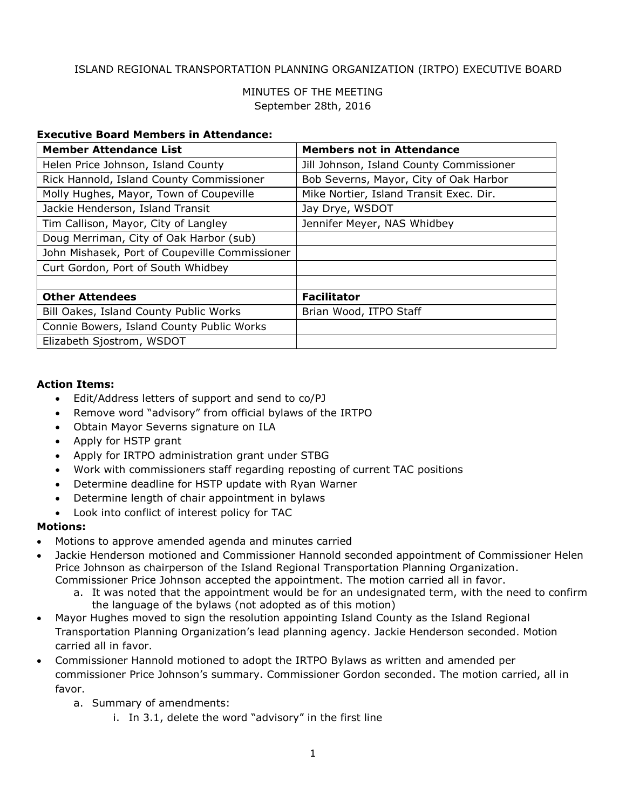## ISLAND REGIONAL TRANSPORTATION PLANNING ORGANIZATION (IRTPO) EXECUTIVE BOARD

## MINUTES OF THE MEETING September 28th, 2016

#### **Executive Board Members in Attendance:**

| <b>Member Attendance List</b>                  | <b>Members not in Attendance</b>         |
|------------------------------------------------|------------------------------------------|
| Helen Price Johnson, Island County             | Jill Johnson, Island County Commissioner |
| Rick Hannold, Island County Commissioner       | Bob Severns, Mayor, City of Oak Harbor   |
| Molly Hughes, Mayor, Town of Coupeville        | Mike Nortier, Island Transit Exec. Dir.  |
| Jackie Henderson, Island Transit               | Jay Drye, WSDOT                          |
| Tim Callison, Mayor, City of Langley           | Jennifer Meyer, NAS Whidbey              |
| Doug Merriman, City of Oak Harbor (sub)        |                                          |
| John Mishasek, Port of Coupeville Commissioner |                                          |
| Curt Gordon, Port of South Whidbey             |                                          |
|                                                |                                          |
| <b>Other Attendees</b>                         | <b>Facilitator</b>                       |
| Bill Oakes, Island County Public Works         | Brian Wood, ITPO Staff                   |
| Connie Bowers, Island County Public Works      |                                          |
| Elizabeth Sjostrom, WSDOT                      |                                          |

#### **Action Items:**

- Edit/Address letters of support and send to co/PJ
- Remove word "advisory" from official bylaws of the IRTPO
- Obtain Mayor Severns signature on ILA
- Apply for HSTP grant
- Apply for IRTPO administration grant under STBG
- Work with commissioners staff regarding reposting of current TAC positions
- Determine deadline for HSTP update with Ryan Warner
- Determine length of chair appointment in bylaws
- Look into conflict of interest policy for TAC

#### **Motions:**

- Motions to approve amended agenda and minutes carried
- Jackie Henderson motioned and Commissioner Hannold seconded appointment of Commissioner Helen Price Johnson as chairperson of the Island Regional Transportation Planning Organization. Commissioner Price Johnson accepted the appointment. The motion carried all in favor.
	- a. It was noted that the appointment would be for an undesignated term, with the need to confirm the language of the bylaws (not adopted as of this motion)
- Mayor Hughes moved to sign the resolution appointing Island County as the Island Regional Transportation Planning Organization's lead planning agency. Jackie Henderson seconded. Motion carried all in favor.
- Commissioner Hannold motioned to adopt the IRTPO Bylaws as written and amended per commissioner Price Johnson's summary. Commissioner Gordon seconded. The motion carried, all in favor.
	- a. Summary of amendments:
		- i. In 3.1, delete the word "advisory" in the first line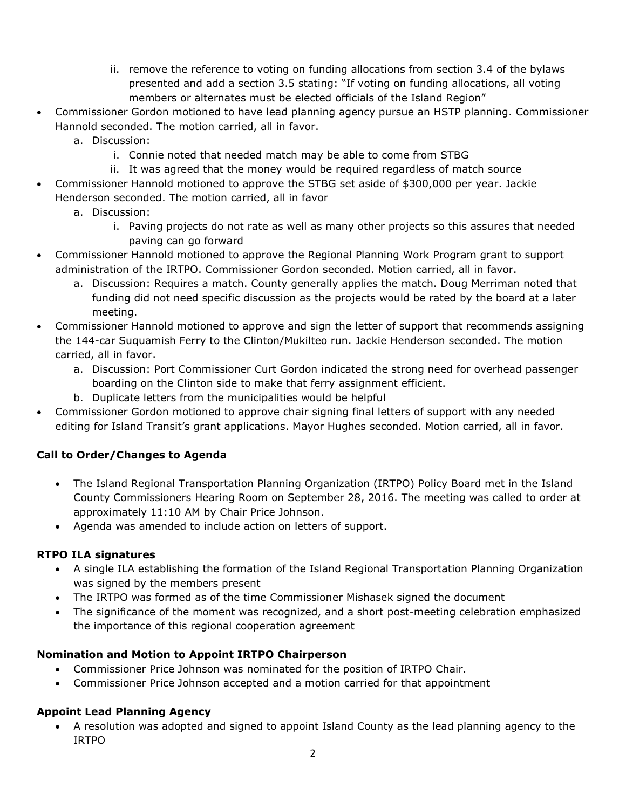- ii. remove the reference to voting on funding allocations from section 3.4 of the bylaws presented and add a section 3.5 stating: "If voting on funding allocations, all voting members or alternates must be elected officials of the Island Region"
- Commissioner Gordon motioned to have lead planning agency pursue an HSTP planning. Commissioner Hannold seconded. The motion carried, all in favor.
	- a. Discussion:
		- i. Connie noted that needed match may be able to come from STBG
		- ii. It was agreed that the money would be required regardless of match source
- Commissioner Hannold motioned to approve the STBG set aside of \$300,000 per year. Jackie Henderson seconded. The motion carried, all in favor
	- a. Discussion:
		- i. Paving projects do not rate as well as many other projects so this assures that needed paving can go forward
- Commissioner Hannold motioned to approve the Regional Planning Work Program grant to support administration of the IRTPO. Commissioner Gordon seconded. Motion carried, all in favor.
	- a. Discussion: Requires a match. County generally applies the match. Doug Merriman noted that funding did not need specific discussion as the projects would be rated by the board at a later meeting.
- Commissioner Hannold motioned to approve and sign the letter of support that recommends assigning the 144-car Suquamish Ferry to the Clinton/Mukilteo run. Jackie Henderson seconded. The motion carried, all in favor.
	- a. Discussion: Port Commissioner Curt Gordon indicated the strong need for overhead passenger boarding on the Clinton side to make that ferry assignment efficient.
	- b. Duplicate letters from the municipalities would be helpful
- Commissioner Gordon motioned to approve chair signing final letters of support with any needed editing for Island Transit's grant applications. Mayor Hughes seconded. Motion carried, all in favor.

# **Call to Order/Changes to Agenda**

- The Island Regional Transportation Planning Organization (IRTPO) Policy Board met in the Island County Commissioners Hearing Room on September 28, 2016. The meeting was called to order at approximately 11:10 AM by Chair Price Johnson.
- Agenda was amended to include action on letters of support.

# **RTPO ILA signatures**

- A single ILA establishing the formation of the Island Regional Transportation Planning Organization was signed by the members present
- The IRTPO was formed as of the time Commissioner Mishasek signed the document
- The significance of the moment was recognized, and a short post-meeting celebration emphasized the importance of this regional cooperation agreement

# **Nomination and Motion to Appoint IRTPO Chairperson**

- Commissioner Price Johnson was nominated for the position of IRTPO Chair.
- Commissioner Price Johnson accepted and a motion carried for that appointment

# **Appoint Lead Planning Agency**

 A resolution was adopted and signed to appoint Island County as the lead planning agency to the IRTPO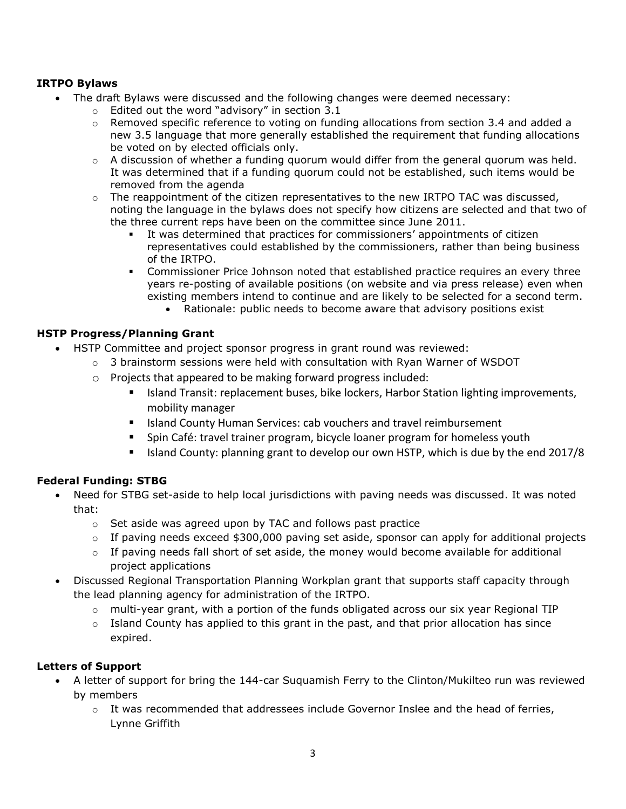## **IRTPO Bylaws**

- The draft Bylaws were discussed and the following changes were deemed necessary:
	- o Edited out the word "advisory" in section 3.1
	- $\circ$  Removed specific reference to voting on funding allocations from section 3.4 and added a new 3.5 language that more generally established the requirement that funding allocations be voted on by elected officials only.
	- $\circ$  A discussion of whether a funding quorum would differ from the general quorum was held. It was determined that if a funding quorum could not be established, such items would be removed from the agenda
	- $\circ$  The reappointment of the citizen representatives to the new IRTPO TAC was discussed, noting the language in the bylaws does not specify how citizens are selected and that two of the three current reps have been on the committee since June 2011.
		- It was determined that practices for commissioners' appointments of citizen representatives could established by the commissioners, rather than being business of the IRTPO.
		- Commissioner Price Johnson noted that established practice requires an every three years re-posting of available positions (on website and via press release) even when existing members intend to continue and are likely to be selected for a second term.
			- Rationale: public needs to become aware that advisory positions exist

### **HSTP Progress/Planning Grant**

- HSTP Committee and project sponsor progress in grant round was reviewed:
	- $\circ$  3 brainstorm sessions were held with consultation with Ryan Warner of WSDOT
	- o Projects that appeared to be making forward progress included:
		- **ISLANGE TRANSIM ISLANGE THE ISLANGE IS CONCOCOTT FOR ISLANGE IM** SIGNORTHONS, ISLANGE ISLANGER, ISLANGER, ISLANGER, mobility manager
		- **IF Island County Human Services: cab vouchers and travel reimbursement**
		- **Spin Café: travel trainer program, bicycle loaner program for homeless youth**
		- Island County: planning grant to develop our own HSTP, which is due by the end 2017/8

# **Federal Funding: STBG**

- Need for STBG set-aside to help local jurisdictions with paving needs was discussed. It was noted that:
	- o Set aside was agreed upon by TAC and follows past practice
	- $\circ$  If paving needs exceed \$300,000 paving set aside, sponsor can apply for additional projects
	- $\circ$  If paving needs fall short of set aside, the money would become available for additional project applications
- Discussed Regional Transportation Planning Workplan grant that supports staff capacity through the lead planning agency for administration of the IRTPO.
	- $\circ$  multi-year grant, with a portion of the funds obligated across our six year Regional TIP
	- $\circ$  Island County has applied to this grant in the past, and that prior allocation has since expired.

### **Letters of Support**

- A letter of support for bring the 144-car Suquamish Ferry to the Clinton/Mukilteo run was reviewed by members
	- $\circ$  It was recommended that addressees include Governor Inslee and the head of ferries, Lynne Griffith